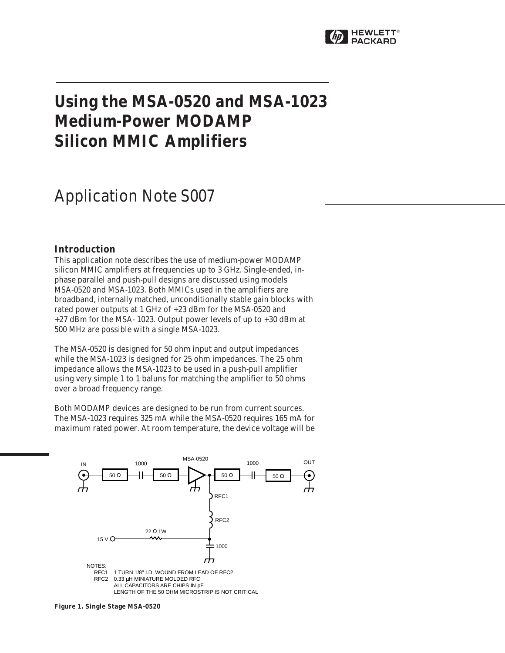

# **Using the MSA-0520 and MSA-1023 Medium-Power MODAMP Silicon MMIC Amplifiers**

## Application Note S007

## **Introduction**

This application note describes the use of medium-power MODAMP silicon MMIC amplifiers at frequencies up to 3 GHz. Single-ended, inphase parallel and push-pull designs are discussed using models MSA-0520 and MSA-1023. Both MMICs used in the amplifiers are broadband, internally matched, unconditionally stable gain blocks with rated power outputs at 1 GHz of +23 dBm for the MSA-0520 and +27 dBm for the MSA- 1023. Output power levels of up to +30 dBm at 500 MHz are possible with a single MSA-1023.

The MSA-0520 is designed for 50 ohm input and output impedances while the MSA-1023 is designed for 25 ohm impedances. The 25 ohm impedance allows the MSA-1023 to be used in a push-pull amplifier using very simple 1 to 1 baluns for matching the amplifier to 50 ohms over a broad frequency range.

Both MODAMP devices are designed to be run from current sources. The MSA-1023 requires 325 mA while the MSA-0520 requires 165 mA for maximum rated power. At room temperature, the device voltage will be



**Figure 1. Single Stage MSA-0520**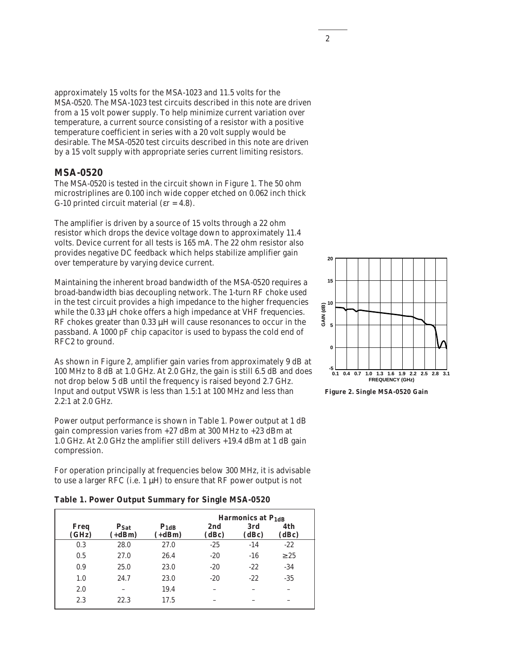approximately 15 volts for the MSA-1023 and 11.5 volts for the MSA-0520. The MSA-1023 test circuits described in this note are driven from a 15 volt power supply. To help minimize current variation over temperature, a current source consisting of a resistor with a positive temperature coefficient in series with a 20 volt supply would be desirable. The MSA-0520 test circuits described in this note are driven by a 15 volt supply with appropriate series current limiting resistors.

## **MSA-0520**

The MSA-0520 is tested in the circuit shown in Figure 1. The 50 ohm microstriplines are 0.100 inch wide copper etched on 0.062 inch thick G-10 printed circuit material ( $\varepsilon$ r = 4.8).

The amplifier is driven by a source of 15 volts through a 22 ohm resistor which drops the device voltage down to approximately 11.4 volts. Device current for all tests is 165 mA. The 22 ohm resistor also provides negative DC feedback which helps stabilize amplifier gain over temperature by varying device current.

Maintaining the inherent broad bandwidth of the MSA-0520 requires a broad-bandwidth bias decoupling network. The 1-turn RF choke used in the test circuit provides a high impedance to the higher frequencies while the 0.33  $\mu$ H choke offers a high impedance at VHF frequencies. RF chokes greater than 0.33  $\mu$ H will cause resonances to occur in the passband. A 1000 pF chip capacitor is used to bypass the cold end of RFC2 to ground.

As shown in Figure 2, amplifier gain varies from approximately 9 dB at 100 MHz to 8 dB at 1.0 GHz. At 2.0 GHz, the gain is still 6.5 dB and does not drop below 5 dB until the frequency is raised beyond 2.7 GHz. Input and output VSWR is less than 1.5:1 at 100 MHz and less than 2.2:1 at 2.0 GHz.

Power output performance is shown in Table 1. Power output at 1 dB gain compression varies from +27 dBm at 300 MHz to +23 dBm at 1.0 GHz. At 2.0 GHz the amplifier still delivers +19.4 dBm at 1 dB gain compression.

For operation principally at frequencies below 300 MHz, it is advisable to use a larger RFC (i.e.  $1 \mu$ H) to ensure that RF power output is not

|  | Table 1. Power Output Summary for Single MSA-0520 |  |  |
|--|---------------------------------------------------|--|--|
|  |                                                   |  |  |

|               |                       |                       |              | Harmonics at $P_{1dB}$ |              |
|---------------|-----------------------|-----------------------|--------------|------------------------|--------------|
| Freq<br>(GHz) | $P_{Sat}$<br>$(+dBm)$ | $P_{1dB}$<br>$(+dBm)$ | 2nd<br>(dBc) | 3rd<br>(dBc)           | 4th<br>(dBc) |
| 0.3           | 28.0                  | 27.0                  | $-25$        | $-14$                  | $-22$        |
| 0.5           | 27.0                  | 26.4                  | $-20$        | $-16$                  | $\geq 25$    |
| 0.9           | 25.0                  | 23.0                  | $-20$        | $-22$                  | $-34$        |
| 1.0           | 24.7                  | 23.0                  | $-20$        | $-22$                  | $-35$        |
| 2.0           | -                     | 19.4                  |              |                        |              |
| 2.3           | 22.3                  | 17.5                  |              |                        |              |



**Figure 2. Single MSA-0520 Gain**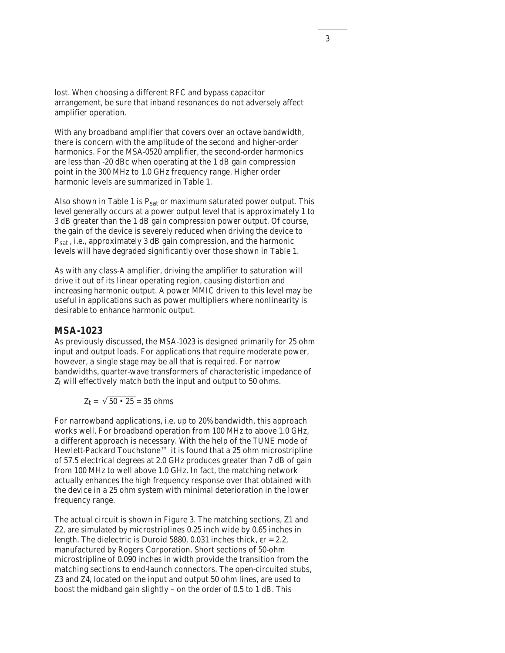lost. When choosing a different RFC and bypass capacitor arrangement, be sure that inband resonances do not adversely affect amplifier operation.

With any broadband amplifier that covers over an octave bandwidth, there is concern with the amplitude of the second and higher-order harmonics. For the MSA-0520 amplifier, the second-order harmonics are less than -20 dBc when operating at the 1 dB gain compression point in the 300 MHz to 1.0 GHz frequency range. Higher order harmonic levels are summarized in Table 1.

Also shown in Table 1 is  $P_{sat}$  or maximum saturated power output. This level generally occurs at a power output level that is approximately 1 to 3 dB greater than the 1 dB gain compression power output. Of course, the gain of the device is severely reduced when driving the device to P<sub>sat</sub>, i.e., approximately 3 dB gain compression, and the harmonic levels will have degraded significantly over those shown in Table 1.

As with any class-A amplifier, driving the amplifier to saturation will drive it out of its linear operating region, causing distortion and increasing harmonic output. A power MMIC driven to this level may be useful in applications such as power multipliers where nonlinearity is desirable to enhance harmonic output.

## **MSA-1023**

As previously discussed, the MSA-1023 is designed primarily for 25 ohm input and output loads. For applications that require moderate power, however, a single stage may be all that is required. For narrow bandwidths, quarter-wave transformers of characteristic impedance of  $Z_t$  will effectively match both the input and output to 50 ohms.

$$
Z_t = \sqrt{50 \cdot 25} = 35 \text{ ohms}
$$

For narrowband applications, i.e. up to 20% bandwidth, this approach works well. For broadband operation from 100 MHz to above 1.0 GHz, a different approach is necessary. With the help of the TUNE mode of Hewlett-Packard Touchstone™ it is found that a 25 ohm microstripline of 57.5 electrical degrees at 2.0 GHz produces greater than 7 dB of gain from 100 MHz to well above 1.0 GHz. In fact, the matching network actually enhances the high frequency response over that obtained with the device in a 25 ohm system with minimal deterioration in the lower frequency range.

The actual circuit is shown in Figure 3. The matching sections, Z1 and Z2, are simulated by microstriplines 0.25 inch wide by 0.65 inches in length. The dielectric is Duroid 5880, 0.031 inches thick, εr = 2.2, manufactured by Rogers Corporation. Short sections of 50-ohm microstripline of 0.090 inches in width provide the transition from the matching sections to end-launch connectors. The open-circuited stubs, Z3 and Z4, located on the input and output 50 ohm lines, are used to boost the midband gain slightly – on the order of 0.5 to 1 dB. This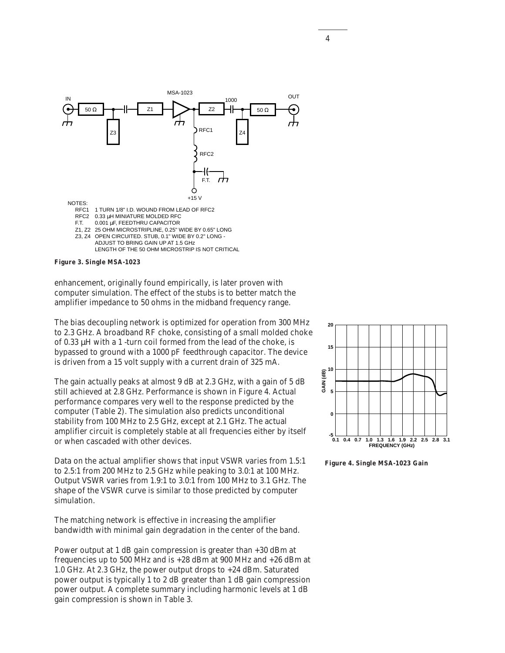



enhancement, originally found empirically, is later proven with computer simulation. The effect of the stubs is to better match the amplifier impedance to 50 ohms in the midband frequency range.

The bias decoupling network is optimized for operation from 300 MHz to 2.3 GHz. A broadband RF choke, consisting of a small molded choke of 0.33 µH with a 1 -turn coil formed from the lead of the choke, is bypassed to ground with a 1000 pF feedthrough capacitor. The device is driven from a 15 volt supply with a current drain of 325 mA.

The gain actually peaks at almost 9 dB at 2.3 GHz, with a gain of 5 dB still achieved at 2.8 GHz. Performance is shown in Figure 4. Actual performance compares very well to the response predicted by the computer (Table 2). The simulation also predicts unconditional stability from 100 MHz to 2.5 GHz, except at 2.1 GHz. The actual amplifier circuit is completely stable at all frequencies either by itself or when cascaded with other devices.

Data on the actual amplifier shows that input VSWR varies from 1.5:1 to 2.5:1 from 200 MHz to 2.5 GHz while peaking to 3.0:1 at 100 MHz. Output VSWR varies from 1.9:1 to 3.0:1 from 100 MHz to 3.1 GHz. The shape of the VSWR curve is similar to those predicted by computer simulation.

The matching network is effective in increasing the amplifier bandwidth with minimal gain degradation in the center of the band.

Power output at 1 dB gain compression is greater than +30 dBm at frequencies up to 500 MHz and is +28 dBm at 900 MHz and +26 dBm at 1.0 GHz. At 2.3 GHz, the power output drops to +24 dBm. Saturated power output is typically 1 to 2 dB greater than 1 dB gain compression power output. A complete summary including harmonic levels at 1 dB gain compression is shown in Table 3.



**Figure 4. Single MSA-1023 Gain**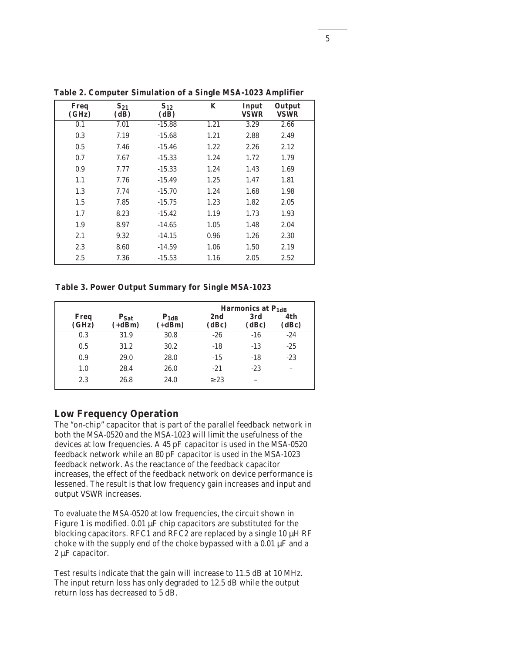|                      |                  |                  | ÷    |                      |                       |  |
|----------------------|------------------|------------------|------|----------------------|-----------------------|--|
| <b>Freq</b><br>(GHz) | $S_{21}$<br>(dB) | $S_{12}$<br>(dB) | K    | Input<br><b>VSWR</b> | Output<br><b>VSWR</b> |  |
| 0.1                  | 7.01             | $-15.88$         | 1.21 | 3.29                 | 2.66                  |  |
| 0.3                  | 7.19             | $-15.68$         | 1.21 | 2.88                 | 2.49                  |  |
| 0.5                  | 7.46             | $-15.46$         | 1.22 | 2.26                 | 2.12                  |  |
| 0.7                  | 7.67             | $-15.33$         | 1.24 | 1.72                 | 1.79                  |  |
| 0.9                  | 7.77             | $-15.33$         | 1.24 | 1.43                 | 1.69                  |  |
| 1.1                  | 7.76             | $-15.49$         | 1.25 | 1.47                 | 1.81                  |  |
| 1.3                  | 7.74             | $-15.70$         | 1.24 | 1.68                 | 1.98                  |  |
| 1.5                  | 7.85             | $-15.75$         | 1.23 | 1.82                 | 2.05                  |  |
| 1.7                  | 8.23             | $-15.42$         | 1.19 | 1.73                 | 1.93                  |  |
| 1.9                  | 8.97             | $-14.65$         | 1.05 | 1.48                 | 2.04                  |  |
| 2.1                  | 9.32             | $-14.15$         | 0.96 | 1.26                 | 2.30                  |  |
| 2.3                  | 8.60             | $-14.59$         | 1.06 | 1.50                 | 2.19                  |  |
| 2.5                  | 7.36             | $-15.53$         | 1.16 | 2.05                 | 2.52                  |  |

**Table 2. Computer Simulation of a Single MSA-1023 Amplifier**

**Table 3. Power Output Summary for Single MSA-1023**

|               |                       |                       |              | Harmonics at P <sub>1dB</sub> |              |
|---------------|-----------------------|-----------------------|--------------|-------------------------------|--------------|
| Freq<br>(GHz) | $P_{Sat}$<br>$(+dBm)$ | $P_{1dB}$<br>$(+dBm)$ | 2nd<br>(dBc) | 3rd<br>(dBc)                  | 4th<br>(dBc) |
| 0.3           | 31.9                  | 30.8                  | $-26$        | $-16$                         | $-24$        |
| 0.5           | 31.2                  | 30.2                  | $-18$        | $-13$                         | $-25$        |
| 0.9           | 29.0                  | 28.0                  | $-15$        | $-18$                         | $-23$        |
| 1.0           | 28.4                  | 26.0                  | $-21$        | $-23$                         |              |
| 2.3           | 26.8                  | 24.0                  | $\geq$ 23    |                               |              |

### **Low Frequency Operation**

The "on-chip" capacitor that is part of the parallel feedback network in both the MSA-0520 and the MSA-1023 will limit the usefulness of the devices at low frequencies. A 45 pF capacitor is used in the MSA-0520 feedback network while an 80 pF capacitor is used in the MSA-1023 feedback network. As the reactance of the feedback capacitor increases, the effect of the feedback network on device performance is lessened. The result is that low frequency gain increases and input and output VSWR increases.

To evaluate the MSA-0520 at low frequencies, the circuit shown in Figure 1 is modified. 0.01  $\mu$ F chip capacitors are substituted for the blocking capacitors. RFC1 and RFC2 are replaced by a single 10 µH RF choke with the supply end of the choke bypassed with a  $0.01 \mu$ F and a 2 µF capacitor.

Test results indicate that the gain will increase to 11.5 dB at 10 MHz. The input return loss has only degraded to 12.5 dB while the output return loss has decreased to 5 dB.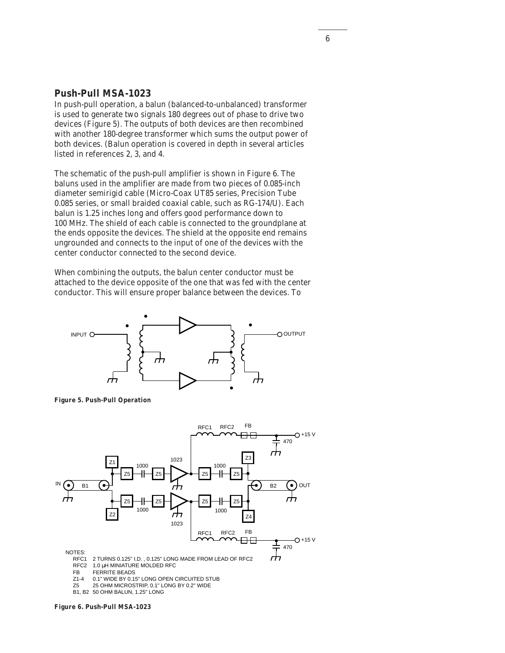## **Push-Pull MSA-1023**

In push-pull operation, a balun (balanced-to-unbalanced) transformer is used to generate two signals 180 degrees out of phase to drive two devices (Figure 5). The outputs of both devices are then recombined with another 180-degree transformer which sums the output power of both devices. (Balun operation is covered in depth in several articles listed in references 2, 3, and 4.

The schematic of the push-pull amplifier is shown in Figure 6. The baluns used in the amplifier are made from two pieces of 0.085-inch diameter semirigid cable (Micro-Coax UT85 series, Precision Tube 0.085 series, or small braided coaxial cable, such as RG-174/U). Each balun is 1.25 inches long and offers good performance down to 100 MHz. The shield of each cable is connected to the groundplane at the ends opposite the devices. The shield at the opposite end remains ungrounded and connects to the input of one of the devices with the center conductor connected to the second device.

When combining the outputs, the balun center conductor must be attached to the device opposite of the one that was fed with the center conductor. This will ensure proper balance between the devices. To







FB FERRITE BEADS<br>Z1-4 0.1" WIDE BY 0.15

Z1-4 0.1" WIDE BY 0.15" LONG OPEN CIRCUITED STUB<br>Z5 25 OHM MICROSTRIP. 0.1" LONG BY 0.2" WIDE Z5 25 OHM MICROSTRIP, 0.1" LONG BY 0.2" WIDE

B1, B2 50 OHM BALUN, 1.25" LONG

#### **Figure 6. Push-Pull MSA-1023**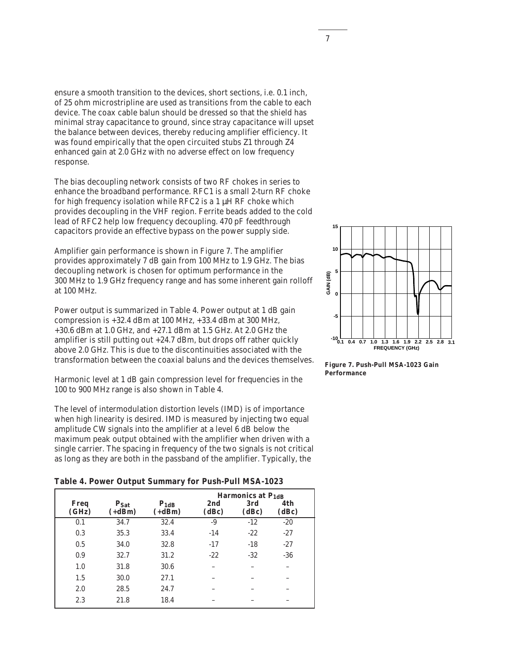ensure a smooth transition to the devices, short sections, i.e. 0.1 inch, of 25 ohm microstripline are used as transitions from the cable to each device. The coax cable balun should be dressed so that the shield has minimal stray capacitance to ground, since stray capacitance will upset the balance between devices, thereby reducing amplifier efficiency. It was found empirically that the open circuited stubs Z1 through Z4 enhanced gain at 2.0 GHz with no adverse effect on low frequency response.

The bias decoupling network consists of two RF chokes in series to enhance the broadband performance. RFC1 is a small 2-turn RF choke for high frequency isolation while RFC2 is a 1 µH RF choke which provides decoupling in the VHF region. Ferrite beads added to the cold lead of RFC2 help low frequency decoupling. 470 pF feedthrough capacitors provide an effective bypass on the power supply side.

Amplifier gain performance is shown in Figure 7. The amplifier provides approximately 7 dB gain from 100 MHz to 1.9 GHz. The bias decoupling network is chosen for optimum performance in the 300 MHz to 1.9 GHz frequency range and has some inherent gain rolloff at 100 MHz.

Power output is summarized in Table 4. Power output at 1 dB gain compression is +32.4 dBm at 100 MHz, +33.4 dBm at 300 MHz, +30.6 dBm at 1.0 GHz, and +27.1 dBm at 1.5 GHz. At 2.0 GHz the amplifier is still putting out +24.7 dBm, but drops off rather quickly above 2.0 GHz. This is due to the discontinuities associated with the transformation between the coaxial baluns and the devices themselves.

Harmonic level at 1 dB gain compression level for frequencies in the 100 to 900 MHz range is also shown in Table 4.

The level of intermodulation distortion levels (IMD) is of importance when high linearity is desired. IMD is measured by injecting two equal amplitude CW signals into the amplifier at a level 6 dB below the maximum peak output obtained with the amplifier when driven with a single carrier. The spacing in frequency of the two signals is not critical as long as they are both in the passband of the amplifier. Typically, the

**Table 4. Power Output Summary for Push-Pull MSA-1023**

| Freq<br>(GHz) | $P_{Sat}$<br>$(+dBm)$ | $P_{1dB}$<br>$(+dBm)$ | 2nd<br>(dBc) | <b>Harmonics at P<sub>1dB</sub></b><br>3rd<br>(dBc) | 4th<br>(dBc) |
|---------------|-----------------------|-----------------------|--------------|-----------------------------------------------------|--------------|
| 0.1           | 34.7                  | 32.4                  | -9           | $-12$                                               | $-20$        |
| 0.3           | 35.3                  | 33.4                  | $-14$        | $-22$                                               | $-27$        |
| 0.5           | 34.0                  | 32.8                  | $-17$        | $-18$                                               | $-27$        |
| 0.9           | 32.7                  | 31.2                  | $-22$        | $-32$                                               | $-36$        |
| 1.0           | 31.8                  | 30.6                  |              |                                                     |              |
| 1.5           | 30.0                  | 27.1                  |              |                                                     |              |
| 2.0           | 28.5                  | 24.7                  |              |                                                     |              |
| 2.3           | 21.8                  | 18.4                  |              |                                                     |              |



**Figure 7. Push-Pull MSA-1023 Gain Performance**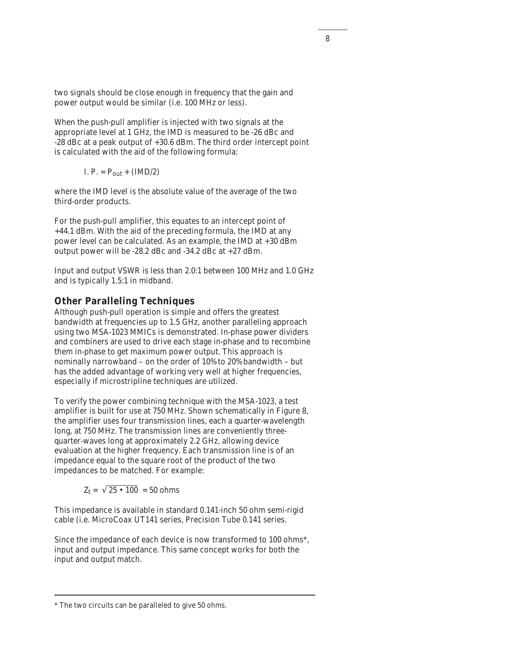two signals should be close enough in frequency that the gain and power output would be similar (i.e. 100 MHz or less).

When the push-pull amplifier is injected with two signals at the appropriate level at 1 GHz, the IMD is measured to be -26 dBc and -28 dBc at a peak output of +30.6 dBm. The third order intercept point is calculated with the aid of the following formula:

I. 
$$
P. = P_{out} + (IMD/2)
$$

where the IMD level is the absolute value of the average of the two third-order products.

For the push-pull amplifier, this equates to an intercept point of +44.1 dBm. With the aid of the preceding formula, the IMD at any power level can be calculated. As an example, the IMD at +30 dBm output power will be -28.2 dBc and -34.2 dBc at +27 dBm.

Input and output VSWR is less than 2.0:1 between 100 MHz and 1.0 GHz and is typically 1.5:1 in midband.

## **Other Paralleling Techniques**

Although push-pull operation is simple and offers the greatest bandwidth at frequencies up to 1.5 GHz, another paralleling approach using two MSA-1023 MMICs is demonstrated. In-phase power dividers and combiners are used to drive each stage in-phase and to recombine them in-phase to get maximum power output. This approach is nominally narrowband – on the order of 10% to 20% bandwidth – but has the added advantage of working very well at higher frequencies, especially if microstripline techniques are utilized.

To verify the power combining technique with the MSA-1023, a test amplifier is built for use at 750 MHz. Shown schematically in Figure 8, the amplifier uses four transmission lines, each a quarter-wavelength long, at 750 MHz. The transmission lines are conveniently threequarter-waves long at approximately 2.2 GHz, allowing device evaluation at the higher frequency. Each transmission line is of an impedance equal to the square root of the product of the two impedances to be matched. For example:

 $Z_t = \sqrt{25 \cdot 100} = 50$  ohms

This impedance is available in standard 0.141-inch 50 ohm semi-rigid cable (i.e. MicroCoax UT141 series, Precision Tube 0.141 series.

Since the impedance of each device is now transformed to 100 ohms\*, input and output impedance. This same concept works for both the input and output match.

<sup>\*</sup> The two circuits can be paralleled to give 50 ohms.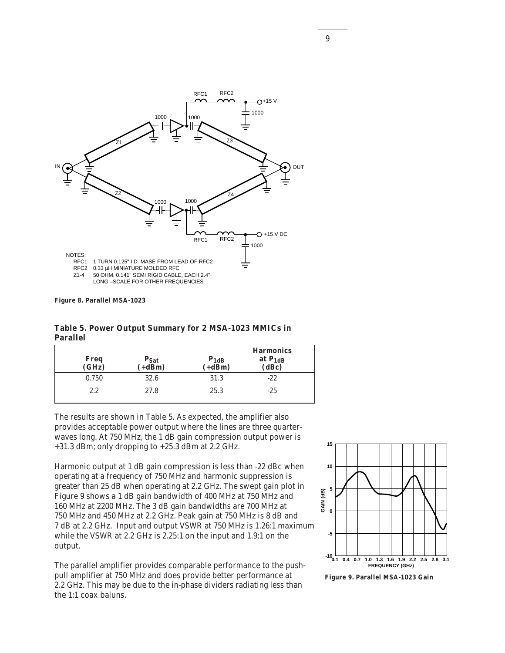

**Figure 8. Parallel MSA-1023**

**Table 5. Power Output Summary for 2 MSA-1023 MMICs in Parallel**

| Freq<br>(GHz) | $P_{Sat}$<br>$(+dBm)$ | $P_{1dB}$<br>$(+dBm)$ | <b>Harmonics</b><br>at $P_{1dB}$<br>(dBc) |
|---------------|-----------------------|-----------------------|-------------------------------------------|
| 0.750         | 32.6                  | 31.3                  | $-22$                                     |
| 2.2           | 27.8                  | 25.3                  | $-25$                                     |

The results are shown in Table 5. As expected, the amplifier also provides acceptable power output where the lines are three quarterwaves long. At 750 MHz, the 1 dB gain compression output power is +31.3 dBm; only dropping to +25.3 dBm at 2.2 GHz.

Harmonic output at 1 dB gain compression is less than -22 dBc when operating at a frequency of 750 MHz and harmonic suppression is greater than 25 dB when operating at 2.2 GHz. The swept gain plot in Figure 9 shows a 1 dB gain bandwidth of 400 MHz at 750 MHz and 160 MHz at 2200 MHz. The 3 dB gain bandwidths are 700 MHz at 750 MHz and 450 MHz at 2.2 GHz. Peak gain at 750 MHz is 8 dB and 7 dB at 2.2 GHz. Input and output VSWR at 750 MHz is 1.26:1 maximum while the VSWR at 2.2 GHz is 2.25:1 on the input and 1.9:1 on the output.

The parallel amplifier provides comparable performance to the pushpull amplifier at 750 MHz and does provide better performance at 2.2 GHz. This may be due to the in-phase dividers radiating less than the 1:1 coax baluns.



**Figure 9. Parallel MSA-1023 Gain**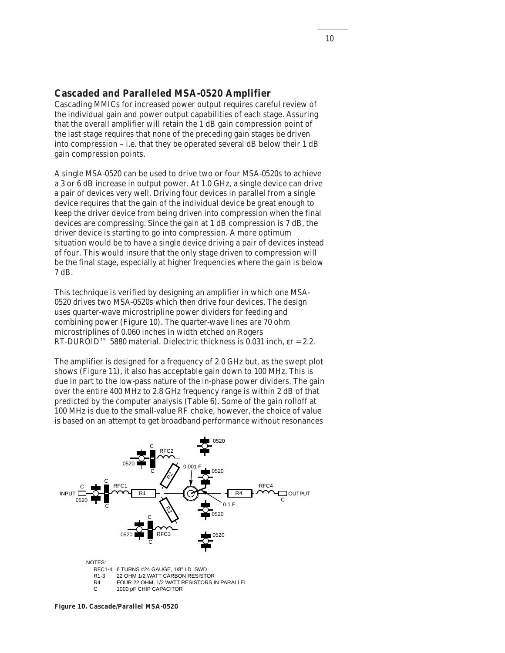## **Cascaded and Paralleled MSA-0520 Amplifier**

Cascading MMICs for increased power output requires careful review of the individual gain and power output capabilities of each stage. Assuring that the overall amplifier will retain the 1 dB gain compression point of the last stage requires that none of the preceding gain stages be driven into compression – i.e. that they be operated several dB below their 1 dB gain compression points.

A single MSA-0520 can be used to drive two or four MSA-0520s to achieve a 3 or 6 dB increase in output power. At 1.0 GHz, a single device can drive a pair of devices very well. Driving four devices in parallel from a single device requires that the gain of the individual device be great enough to keep the driver device from being driven into compression when the final devices are compressing. Since the gain at 1 dB compression is 7 dB, the driver device is starting to go into compression. A more optimum situation would be to have a single device driving a pair of devices instead of four. This would insure that the only stage driven to compression will be the final stage, especially at higher frequencies where the gain is below 7 dB.

This technique is verified by designing an amplifier in which one MSA-0520 drives two MSA-0520s which then drive four devices. The design uses quarter-wave microstripline power dividers for feeding and combining power (Figure 10). The quarter-wave lines are 70 ohm microstriplines of 0.060 inches in width etched on Rogers RT-DUROID™ 5880 material. Dielectric thickness is 0.031 inch,  $\epsilon$ r = 2.2.

The amplifier is designed for a frequency of 2.0 GHz but, as the swept plot shows (Figure 11), it also has acceptable gain down to 100 MHz. This is due in part to the low-pass nature of the in-phase power dividers. The gain over the entire 400 MHz to 2.8 GHz frequency range is within 2 dB of that predicted by the computer analysis (Table 6). Some of the gain rolloff at 100 MHz is due to the small-value RF choke, however, the choice of value is based on an attempt to get broadband performance without resonances



**Figure 10. Cascade/Parallel MSA-0520**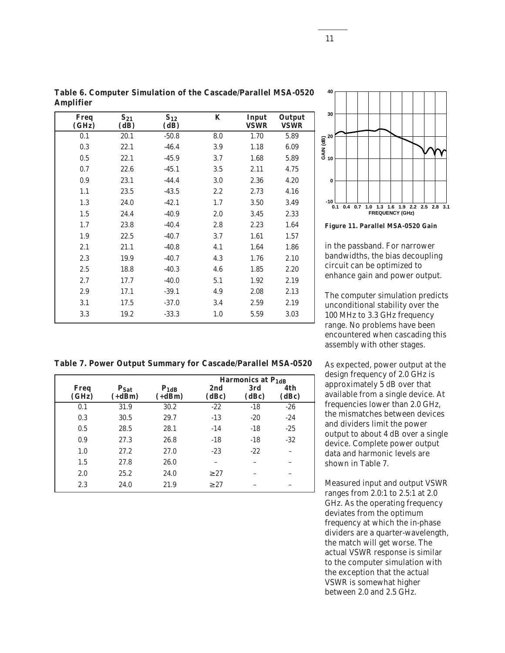| <u><i><b>THIPHILLE</b></i></u> |                  |                  |     |                      |                       |
|--------------------------------|------------------|------------------|-----|----------------------|-----------------------|
| Freq<br>(GHz)                  | $S_{21}$<br>(dB) | $S_{12}$<br>(dB) | K   | Input<br><b>VSWR</b> | Output<br><b>VSWR</b> |
| 0.1                            | 20.1             | $-50.8$          | 8.0 | 1.70                 | 5.89                  |
| 0.3                            | 22.1             | $-46.4$          | 3.9 | 1.18                 | 6.09                  |
| 0.5                            | 22.1             | $-45.9$          | 3.7 | 1.68                 | 5.89                  |
| 0.7                            | 22.6             | $-45.1$          | 3.5 | 2.11                 | 4.75                  |
| 0.9                            | 23.1             | $-44.4$          | 3.0 | 2.36                 | 4.20                  |
| 1.1                            | 23.5             | $-43.5$          | 2.2 | 2.73                 | 4.16                  |
| 1.3                            | 24.0             | $-42.1$          | 1.7 | 3.50                 | 3.49                  |
| 1.5                            | 24.4             | $-40.9$          | 2.0 | 3.45                 | 2.33                  |
| 1.7                            | 23.8             | $-40.4$          | 2.8 | 2.23                 | 1.64                  |
| 1.9                            | 22.5             | $-40.7$          | 3.7 | 1.61                 | 1.57                  |
| 2.1                            | 21.1             | $-40.8$          | 4.1 | 1.64                 | 1.86                  |
| 2.3                            | 19.9             | $-40.7$          | 4.3 | 1.76                 | 2.10                  |
| 2.5                            | 18.8             | $-40.3$          | 4.6 | 1.85                 | 2.20                  |
| 2.7                            | 17.7             | $-40.0$          | 5.1 | 1.92                 | 2.19                  |
| 2.9                            | 17.1             | $-39.1$          | 4.9 | 2.08                 | 2.13                  |
| 3.1                            | 17.5             | $-37.0$          | 3.4 | 2.59                 | 2.19                  |
| 3.3                            | 19.2             | $-33.3$          | 1.0 | 5.59                 | 3.03                  |
|                                |                  |                  |     |                      |                       |

**Table 6. Computer Simulation of the Cascade/Parallel MSA-0520 Amplifier**

**Table 7. Power Output Summary for Cascade/Parallel MSA-0520**

|               |                              |                       |              | Harmonics at $P_{1dR}$ |              |
|---------------|------------------------------|-----------------------|--------------|------------------------|--------------|
| Freq<br>(GHz) | P <sub>Sat</sub><br>$(+dBm)$ | $P_{1dB}$<br>$(+dBm)$ | 2nd<br>(dBc) | 3rd<br>(dBc)           | 4th<br>(dBc) |
| 0.1           | 31.9                         | 30.2                  | $-22$        | $-18$                  | $-26$        |
| 0.3           | 30.5                         | 29.7                  | $-13$        | $-20$                  | $-24$        |
| 0.5           | 28.5                         | 28.1                  | $-14$        | $-18$                  | $-25$        |
| 0.9           | 27.3                         | 26.8                  | $-18$        | $-18$                  | $-32$        |
| 1.0           | 27.2                         | 27.0                  | $-23$        | $-22$                  |              |
| 1.5           | 27.8                         | 26.0                  |              |                        |              |
| 2.0           | 25.2                         | 24.0                  | $\geq$ 27    |                        |              |
| 2.3           | 24.0                         | 21.9                  | $\geq$ 27    |                        |              |



**Figure 11. Parallel MSA-0520 Gain**

in the passband. For narrower bandwidths, the bias decoupling circuit can be optimized to enhance gain and power output.

The computer simulation predicts unconditional stability over the 100 MHz to 3.3 GHz frequency range. No problems have been encountered when cascading this assembly with other stages.

As expected, power output at the design frequency of 2.0 GHz is approximately 5 dB over that available from a single device. At frequencies lower than 2.0 GHz, the mismatches between devices and dividers limit the power output to about 4 dB over a single device. Complete power output data and harmonic levels are shown in Table 7.

Measured input and output VSWR ranges from 2.0:1 to 2.5:1 at 2.0 GHz. As the operating frequency deviates from the optimum frequency at which the in-phase dividers are a quarter-wavelength, the match will get worse. The actual VSWR response is similar to the computer simulation with the exception that the actual VSWR is somewhat higher between 2.0 and 2.5 GHz.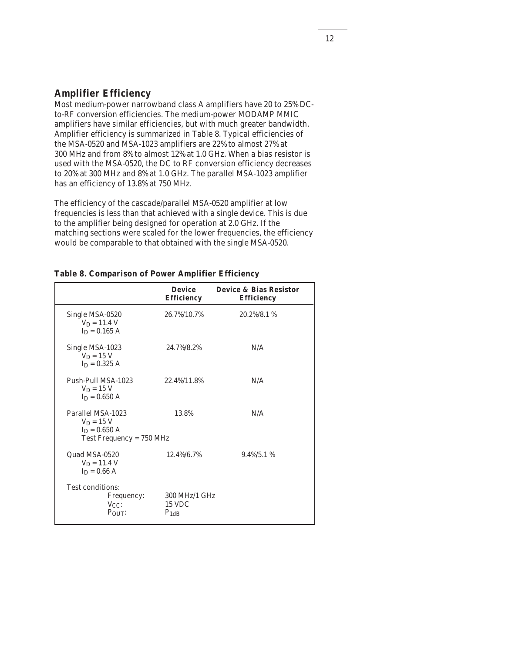## **Amplifier Efficiency**

Most medium-power narrowband class A amplifiers have 20 to 25% DCto-RF conversion efficiencies. The medium-power MODAMP MMIC amplifiers have similar efficiencies, but with much greater bandwidth. Amplifier efficiency is summarized in Table 8. Typical efficiencies of the MSA-0520 and MSA-1023 amplifiers are 22% to almost 27% at 300 MHz and from 8% to almost 12% at 1.0 GHz. When a bias resistor is used with the MSA-0520, the DC to RF conversion efficiency decreases to 20% at 300 MHz and 8% at 1.0 GHz. The parallel MSA-1023 amplifier has an efficiency of 13.8% at 750 MHz.

The efficiency of the cascade/parallel MSA-0520 amplifier at low frequencies is less than that achieved with a single device. This is due to the amplifier being designed for operation at 2.0 GHz. If the matching sections were scaled for the lower frequencies, the efficiency would be comparable to that obtained with the single MSA-0520.

|                                                                                   | <b>Device</b><br><b>Efficiency</b>          | <b>Device &amp; Bias Resistor</b><br><b>Efficiency</b> |
|-----------------------------------------------------------------------------------|---------------------------------------------|--------------------------------------------------------|
| Single MSA-0520<br>$V_D = 11.4 V$<br>$I_D = 0.165 A$                              | 26.7%/10.7%                                 | $20.2\%/8.1\%$                                         |
| Single MSA-1023<br>$V_D = 15 V$<br>$I_D = 0.325 A$                                | 24.7%/8.2%                                  | N/A                                                    |
| Push-Pull MSA-1023<br>$V_D = 15 V$<br>$I_D = 0.650 A$                             | 22.4%/11.8%                                 | N/A                                                    |
| Parallel MSA-1023<br>$V_D = 15 V$<br>$In = 0.650 A$<br>Test Frequency = $750$ MHz | 13.8%                                       | N/A                                                    |
| Quad MSA-0520<br>$V_D = 11.4 V$<br>$I_D = 0.66 A$                                 | 12.4%/6.7%                                  | $9.4\%/5.1\%$                                          |
| Test conditions:<br>Frequency:<br>$V_{CC}$ :<br>$P_{OUT}$                         | 300 MHz/1 GHz<br><b>15 VDC</b><br>$P_{1dB}$ |                                                        |

### **Table 8. Comparison of Power Amplifier Efficiency**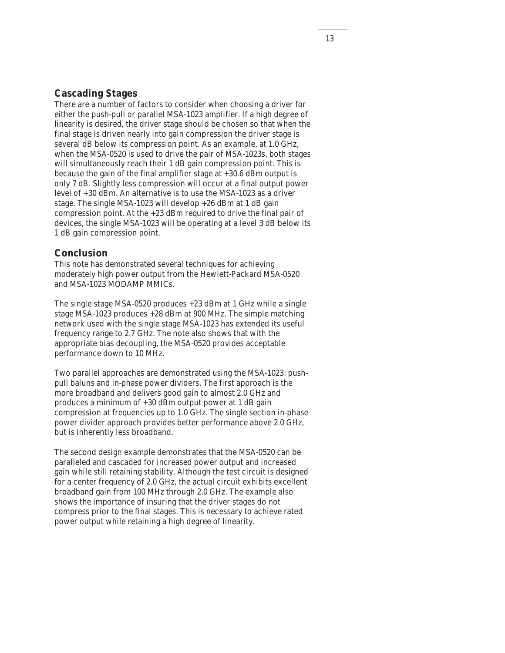## **Cascading Stages**

There are a number of factors to consider when choosing a driver for either the push-pull or parallel MSA-1023 amplifier. If a high degree of linearity is desired, the driver stage should be chosen so that when the final stage is driven nearly into gain compression the driver stage is several dB below its compression point. As an example, at 1.0 GHz, when the MSA-0520 is used to drive the pair of MSA-1023s, both stages will simultaneously reach their 1 dB gain compression point. This is because the gain of the final amplifier stage at +30.6 dBm output is only 7 dB. Slightly less compression will occur at a final output power level of +30 dBm. An alternative is to use the MSA-1023 as a driver stage. The single MSA-1023 will develop +26 dBm at 1 dB gain compression point. At the +23 dBm required to drive the final pair of devices, the single MSA-1023 will be operating at a level 3 dB below its 1 dB gain compression point.

## **Conclusion**

This note has demonstrated several techniques for achieving moderately high power output from the Hewlett-Packard MSA-0520 and MSA-1023 MODAMP MMICs.

The single stage MSA-0520 produces +23 dBm at 1 GHz while a single stage MSA-1023 produces +28 dBm at 900 MHz. The simple matching network used with the single stage MSA-1023 has extended its useful frequency range to 2.7 GHz. The note also shows that with the appropriate bias decoupling, the MSA-0520 provides acceptable performance down to 10 MHz.

Two parallel approaches are demonstrated using the MSA-1023: pushpull baluns and in-phase power dividers. The first approach is the more broadband and delivers good gain to almost 2.0 GHz and produces a minimum of +30 dBm output power at 1 dB gain compression at frequencies up to 1.0 GHz. The single section in-phase power divider approach provides better performance above 2.0 GHz, but is inherently less broadband.

The second design example demonstrates that the MSA-0520 can be paralleled and cascaded for increased power output and increased gain while still retaining stability. Although the test circuit is designed for a center frequency of 2.0 GHz, the actual circuit exhibits excellent broadband gain from 100 MHz through 2.0 GHz. The example also shows the importance of insuring that the driver stages do not compress prior to the final stages. This is necessary to achieve rated power output while retaining a high degree of linearity.